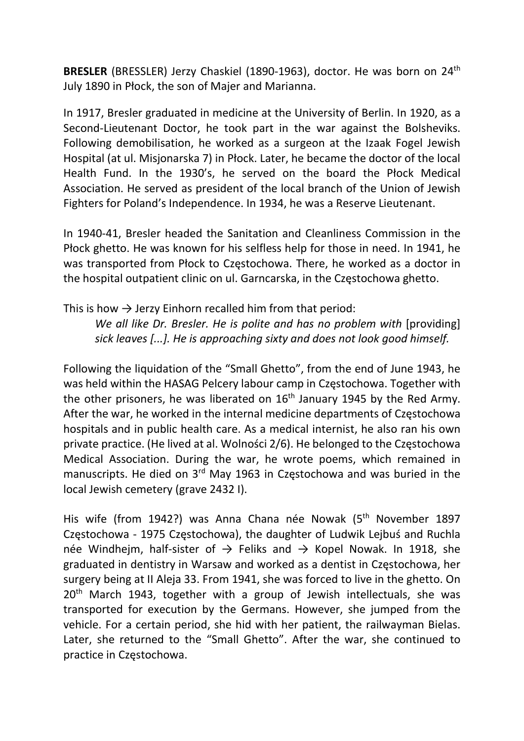BRESLER (BRESSLER) Jerzy Chaskiel (1890-1963), doctor. He was born on 24<sup>th</sup> July 1890 in Płock, the son of Majer and Marianna.

In 1917, Bresler graduated in medicine at the University of Berlin. In 1920, as a Second-Lieutenant Doctor, he took part in the war against the Bolsheviks. Following demobilisation, he worked as a surgeon at the Izaak Fogel Jewish Hospital (at ul. Misjonarska 7) in Płock. Later, he became the doctor of the local Health Fund. In the 1930's, he served on the board the Płock Medical Association. He served as president of the local branch of the Union of Jewish Fighters for Poland's Independence. In 1934, he was a Reserve Lieutenant.

In 1940-41, Bresler headed the Sanitation and Cleanliness Commission in the Płock ghetto. He was known for his selfless help for those in need. In 1941, he was transported from Płock to Częstochowa. There, he worked as a doctor in the hospital outpatient clinic on ul. Garncarska, in the Częstochowa ghetto.

This is how  $\rightarrow$  Jerzy Einhorn recalled him from that period:

We all like Dr. Bresler. He is polite and has no problem with [providing] sick leaves [...]. He is approaching sixty and does not look good himself.

Following the liquidation of the "Small Ghetto", from the end of June 1943, he was held within the HASAG Pelcery labour camp in Częstochowa. Together with the other prisoners, he was liberated on  $16<sup>th</sup>$  January 1945 by the Red Army. After the war, he worked in the internal medicine departments of Częstochowa hospitals and in public health care. As a medical internist, he also ran his own private practice. (He lived at al. Wolności 2/6). He belonged to the Częstochowa Medical Association. During the war, he wrote poems, which remained in manuscripts. He died on 3<sup>rd</sup> May 1963 in Częstochowa and was buried in the local Jewish cemetery (grave 2432 I).

His wife (from 1942?) was Anna Chana née Nowak (5<sup>th</sup> November 1897 Częstochowa - 1975 Częstochowa), the daughter of Ludwik Lejbuś and Ruchla née Windhejm, half-sister of  $\rightarrow$  Feliks and  $\rightarrow$  Kopel Nowak. In 1918, she graduated in dentistry in Warsaw and worked as a dentist in Częstochowa, her surgery being at II Aleja 33. From 1941, she was forced to live in the ghetto. On 20<sup>th</sup> March 1943, together with a group of Jewish intellectuals, she was transported for execution by the Germans. However, she jumped from the vehicle. For a certain period, she hid with her patient, the railwayman Bielas. Later, she returned to the "Small Ghetto". After the war, she continued to practice in Częstochowa.